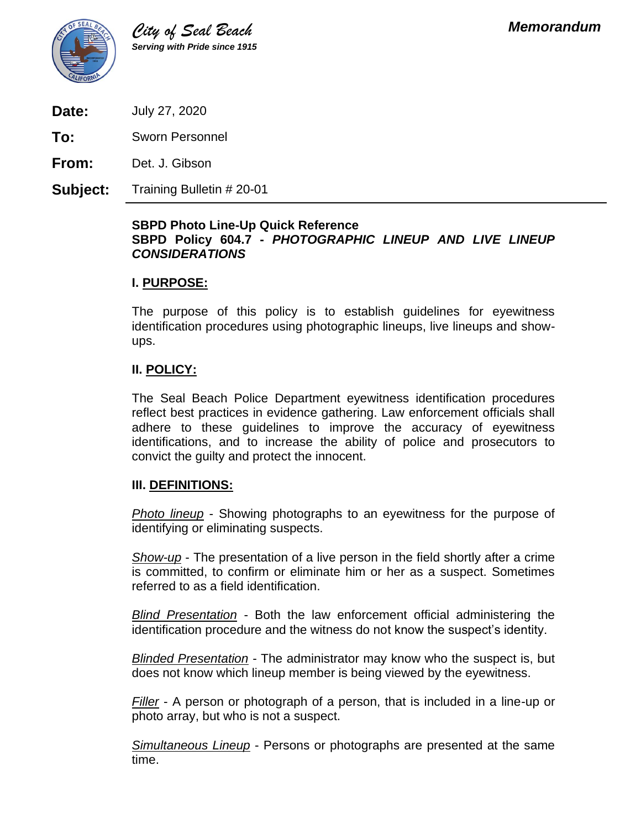

**Date:** July 27, 2020

**To:** Sworn Personnel

**From:** Det. J. Gibson

**Subject:** Training Bulletin # 20-01

#### **SBPD Photo Line-Up Quick Reference SBPD Policy 604.7 -** *PHOTOGRAPHIC LINEUP AND LIVE LINEUP CONSIDERATIONS*

#### **I. PURPOSE:**

The purpose of this policy is to establish guidelines for eyewitness identification procedures using photographic lineups, live lineups and showups.

## **II. POLICY:**

The Seal Beach Police Department eyewitness identification procedures reflect best practices in evidence gathering. Law enforcement officials shall adhere to these guidelines to improve the accuracy of eyewitness identifications, and to increase the ability of police and prosecutors to convict the guilty and protect the innocent.

#### **III. DEFINITIONS:**

*Photo lineup* - Showing photographs to an eyewitness for the purpose of identifying or eliminating suspects.

*Show-up* - The presentation of a live person in the field shortly after a crime is committed, to confirm or eliminate him or her as a suspect. Sometimes referred to as a field identification.

*Blind Presentation* - Both the law enforcement official administering the identification procedure and the witness do not know the suspect's identity.

*Blinded Presentation* - The administrator may know who the suspect is, but does not know which lineup member is being viewed by the eyewitness.

*Filler* - A person or photograph of a person, that is included in a line-up or photo array, but who is not a suspect.

*Simultaneous Lineup* - Persons or photographs are presented at the same time.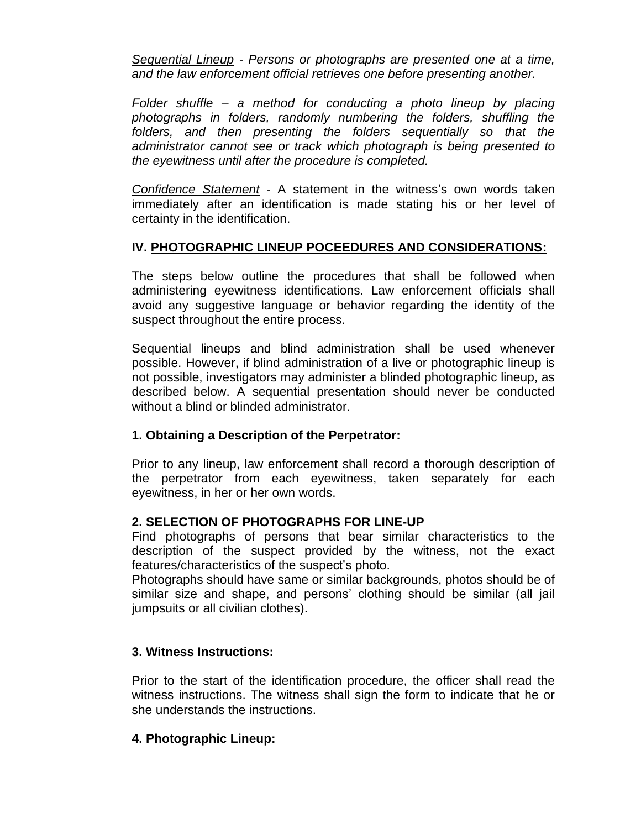*Sequential Lineup - Persons or photographs are presented one at a time, and the law enforcement official retrieves one before presenting another.*

*Folder shuffle – a method for conducting a photo lineup by placing photographs in folders, randomly numbering the folders, shuffling the folders, and then presenting the folders sequentially so that the administrator cannot see or track which photograph is being presented to the eyewitness until after the procedure is completed.*

*Confidence Statement* - A statement in the witness's own words taken immediately after an identification is made stating his or her level of certainty in the identification.

## **IV. PHOTOGRAPHIC LINEUP POCEEDURES AND CONSIDERATIONS:**

The steps below outline the procedures that shall be followed when administering eyewitness identifications. Law enforcement officials shall avoid any suggestive language or behavior regarding the identity of the suspect throughout the entire process.

Sequential lineups and blind administration shall be used whenever possible. However, if blind administration of a live or photographic lineup is not possible, investigators may administer a blinded photographic lineup, as described below. A sequential presentation should never be conducted without a blind or blinded administrator.

#### **1. Obtaining a Description of the Perpetrator:**

Prior to any lineup, law enforcement shall record a thorough description of the perpetrator from each eyewitness, taken separately for each eyewitness, in her or her own words.

#### **2. SELECTION OF PHOTOGRAPHS FOR LINE-UP**

Find photographs of persons that bear similar characteristics to the description of the suspect provided by the witness, not the exact features/characteristics of the suspect's photo.

Photographs should have same or similar backgrounds, photos should be of similar size and shape, and persons' clothing should be similar (all jail jumpsuits or all civilian clothes).

# **3. Witness Instructions:**

Prior to the start of the identification procedure, the officer shall read the witness instructions. The witness shall sign the form to indicate that he or she understands the instructions.

#### **4. Photographic Lineup:**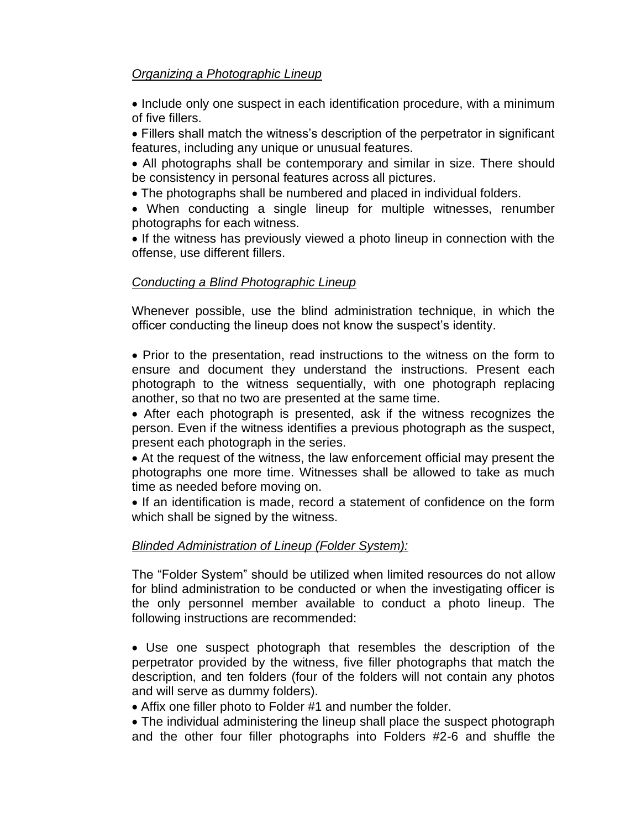# *Organizing a Photographic Lineup*

• Include only one suspect in each identification procedure, with a minimum of five fillers.

• Fillers shall match the witness's description of the perpetrator in significant features, including any unique or unusual features.

• All photographs shall be contemporary and similar in size. There should be consistency in personal features across all pictures.

• The photographs shall be numbered and placed in individual folders.

• When conducting a single lineup for multiple witnesses, renumber photographs for each witness.

• If the witness has previously viewed a photo lineup in connection with the offense, use different fillers.

## *Conducting a Blind Photographic Lineup*

Whenever possible, use the blind administration technique, in which the officer conducting the lineup does not know the suspect's identity.

• Prior to the presentation, read instructions to the witness on the form to ensure and document they understand the instructions. Present each photograph to the witness sequentially, with one photograph replacing another, so that no two are presented at the same time.

• After each photograph is presented, ask if the witness recognizes the person. Even if the witness identifies a previous photograph as the suspect, present each photograph in the series.

• At the request of the witness, the law enforcement official may present the photographs one more time. Witnesses shall be allowed to take as much time as needed before moving on.

• If an identification is made, record a statement of confidence on the form which shall be signed by the witness.

# *Blinded Administration of Lineup (Folder System):*

The "Folder System" should be utilized when limited resources do not allow for blind administration to be conducted or when the investigating officer is the only personnel member available to conduct a photo lineup. The following instructions are recommended:

• Use one suspect photograph that resembles the description of the perpetrator provided by the witness, five filler photographs that match the description, and ten folders (four of the folders will not contain any photos and will serve as dummy folders).

• Affix one filler photo to Folder #1 and number the folder.

• The individual administering the lineup shall place the suspect photograph and the other four filler photographs into Folders #2-6 and shuffle the